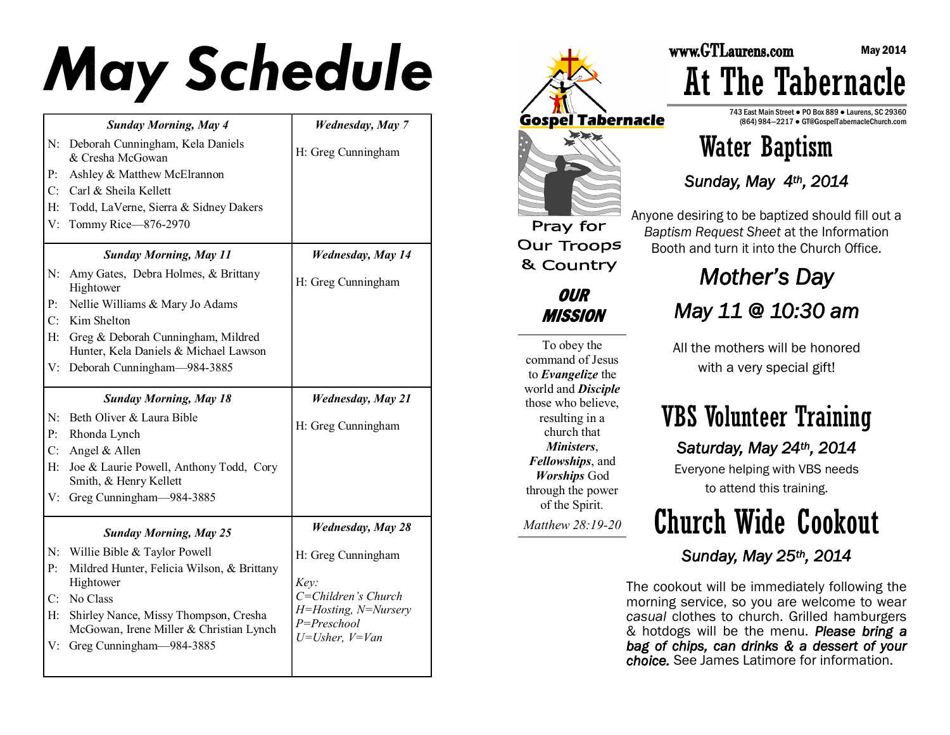# **May Schedule**

|                               | <b>Sunday Morning, May 4</b>                                                     | <b>Wednesday</b> , May 7                                   |
|-------------------------------|----------------------------------------------------------------------------------|------------------------------------------------------------|
|                               | N: Deborah Cunningham, Kela Daniels<br>& Cresha McGowan                          | H: Greg Cunningham                                         |
| $P$ :                         | Ashley & Matthew McElrannon                                                      |                                                            |
|                               | C: Carl & Sheila Kellett                                                         |                                                            |
| $H$ :                         | Todd, LaVerne, Sierra & Sidney Dakers                                            |                                                            |
| V:                            | Tommy Rice-876-2970                                                              |                                                            |
|                               | <b>Sunday Morning, May 11</b>                                                    | <b>Wednesday</b> , May 14                                  |
| N:                            | Amy Gates, Debra Holmes, & Brittany<br>Hightower                                 | H: Greg Cunningham                                         |
| P <sub>i</sub>                | Nellie Williams & Mary Jo Adams                                                  |                                                            |
| $C^+$                         | Kim Shelton                                                                      |                                                            |
| H:                            | Greg & Deborah Cunningham, Mildred<br>Hunter, Kela Daniels & Michael Lawson      |                                                            |
| V:                            | Deborah Cunningham-984-3885                                                      |                                                            |
|                               | <b>Sunday Morning, May 18</b>                                                    | <b>Wednesday</b> , May 21                                  |
| N:                            | Beth Oliver & Laura Bible                                                        |                                                            |
| P <sub>i</sub>                | Rhonda Lynch                                                                     | H: Greg Cunningham                                         |
| C <sup>2</sup>                | Angel & Allen                                                                    |                                                            |
| H:                            | Joe & Laurie Powell, Anthony Todd, Cory<br>Smith, & Henry Kellett                |                                                            |
| V:                            | Greg Cunningham-984-3885                                                         |                                                            |
| <b>Sunday Morning, May 25</b> |                                                                                  | <b>Wednesday</b> , May 28                                  |
|                               | N: Willie Bible & Taylor Powell                                                  | H: Greg Cunningham                                         |
| P:                            | Mildred Hunter, Felicia Wilson, & Brittany                                       |                                                            |
|                               | Hightower                                                                        | Key:                                                       |
| $C^{\ldots}$                  | No Class                                                                         | C=Children's Church                                        |
| H:                            | Shirley Nance, Missy Thompson, Cresha<br>McGowan, Irene Miller & Christian Lynch | H=Hosting, N=Nursery<br>P=Preschool<br>$U=U$ sher. $V=Van$ |



At The Tabernacle 743 East Main Street ● PO Box 889 ● Laurens, SC 29360

(864) 984—2217 ● GT@GospelTabernacleChurch.com

May 2014

## Water Baptism

*Sunday, May 4th, 2014* 

Anyone desiring to be baptized should fill out a *Baptism Request Sheet* at the Information Booth and turn it into the Church Office.

### *Mother's Day May 11 @ 10:30 am*

All the mothers will be honored with a very special gift!

### VBS Volunteer Training *Saturday, May 24th, 2014*

Everyone helping with VBS needs to attend this training.

Church Wide Cookout

### *Sunday, May 25th, 2014*

The cookout will be immediately following the morning service, so you are welcome to wear *casual* clothes to church. Grilled hamburgers & hotdogs will be the menu. *Please bring a bag of chips, can drinks & a dessert of your choice.* See James Latimore for information.